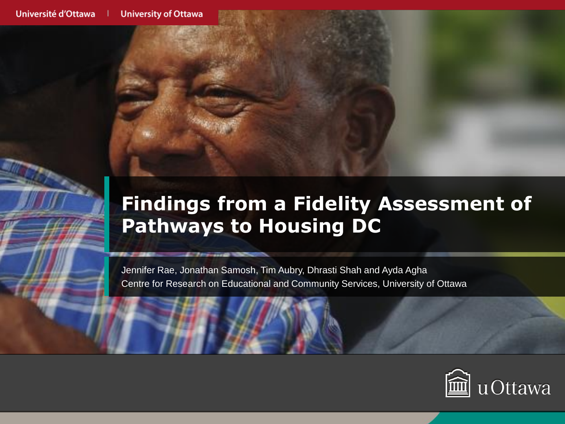# **Findings from a Fidelity Assessment of Pathways to Housing DC**

Jennifer Rae, Jonathan Samosh, Tim Aubry, Dhrasti Shah and Ayda Agha Centre for Research on Educational and Community Services, University of Ottawa

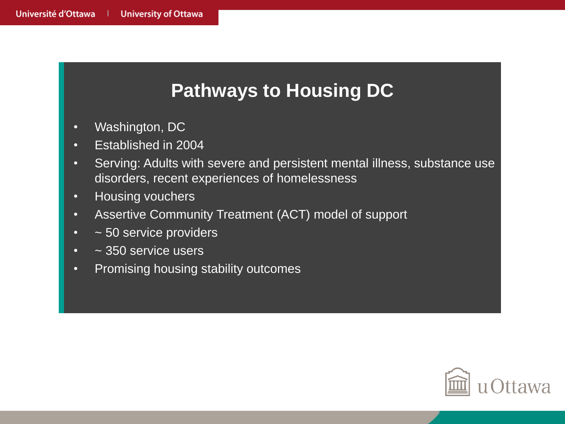## **Pathways to Housing DC**

- Washington, DC
- Established in 2004
- Serving: Adults with severe and persistent mental illness, substance use disorders, recent experiences of homelessness
- Housing vouchers
- Assertive Community Treatment (ACT) model of support
- ~ 50 service providers
- ~ 350 service users
- Promising housing stability outcomes

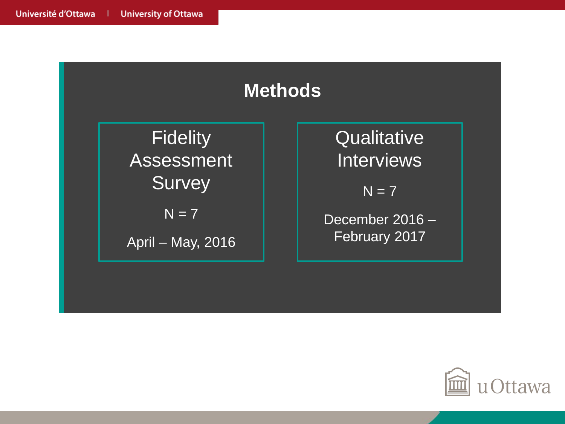

**Fidelity** Assessment **Survey** 

 $N = 7$ 

April – May, 2016

**Qualitative Interviews** 

 $N = 7$ 

December 2016 – February 2017

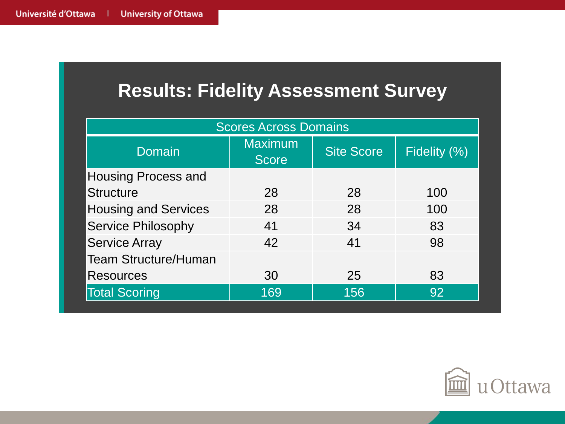### **Results: Fidelity Assessment Survey**

| <b>Scores Across Domains</b> |                                |                   |              |
|------------------------------|--------------------------------|-------------------|--------------|
| <b>Domain</b>                | <b>Maximum</b><br><b>Score</b> | <b>Site Score</b> | Fidelity (%) |
| <b>Housing Process and</b>   |                                |                   |              |
| <b>Structure</b>             | 28                             | 28                | 100          |
| <b>Housing and Services</b>  | 28                             | 28                | 100          |
| <b>Service Philosophy</b>    | 41                             | 34                | 83           |
| <b>Service Array</b>         | 42                             | 41                | 98           |
| <b>Team Structure/Human</b>  |                                |                   |              |
| <b>Resources</b>             | 30                             | 25                | 83           |
| <b>Total Scoring</b>         | 169                            | 156               | 92           |

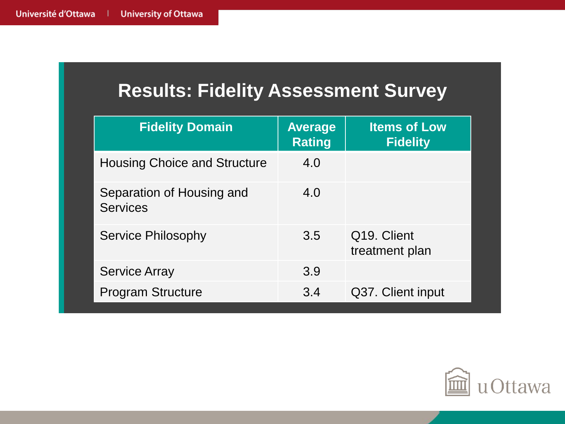#### **Results: Fidelity Assessment Survey**

| <b>Fidelity Domain</b>                       | <b>Average</b><br><b>Rating</b> | <b>Items of Low</b><br><b>Fidelity</b>     |
|----------------------------------------------|---------------------------------|--------------------------------------------|
| <b>Housing Choice and Structure</b>          | 4.0                             |                                            |
| Separation of Housing and<br><b>Services</b> | 4.0                             |                                            |
| <b>Service Philosophy</b>                    | 3.5                             | Q <sub>19</sub> . Client<br>treatment plan |
| <b>Service Array</b>                         | 3.9                             |                                            |
| <b>Program Structure</b>                     | 3.4                             | Q37. Client input                          |

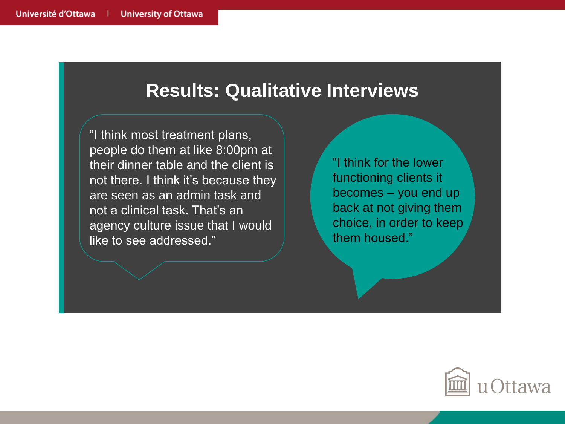#### **Results: Qualitative Interviews**

"I think most treatment plans, people do them at like 8:00pm at their dinner table and the client is not there. I think it's because they are seen as an admin task and not a clinical task. That's an agency culture issue that I would like to see addressed."

"I think for the lower functioning clients it becomes – you end up back at not giving them choice, in order to keep them housed."

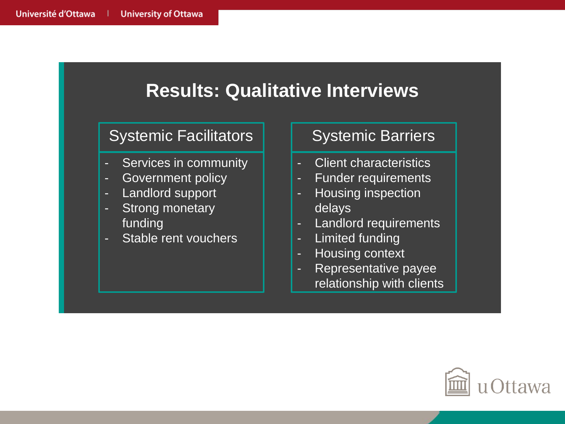#### **Results: Qualitative Interviews** Systemic Facilitators Services in community Government policy Landlord support Strong monetary funding Stable rent vouchers Systemic Barriers - Client characteristics - Funder requirements Housing inspection delays - Landlord requirements - Limited funding - Housing context - Representative payee relationship with clients

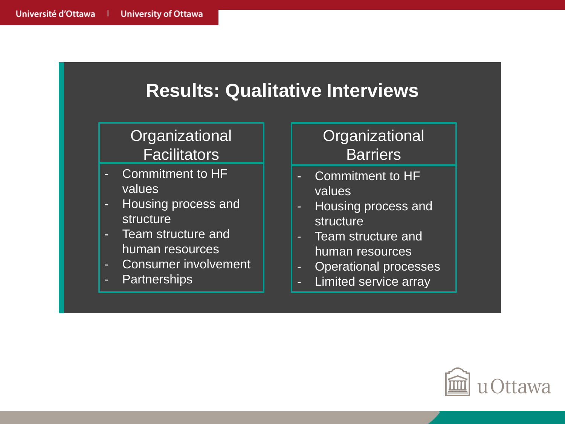| <b>Results: Qualitative Interviews</b>                                                                                                                                                                    |                                                                                                                                                                                        |  |  |
|-----------------------------------------------------------------------------------------------------------------------------------------------------------------------------------------------------------|----------------------------------------------------------------------------------------------------------------------------------------------------------------------------------------|--|--|
| Organizational<br><b>Facilitators</b>                                                                                                                                                                     | Organizational<br><b>Barriers</b>                                                                                                                                                      |  |  |
| Commitment to HF<br>н<br>values<br>Housing process and<br>۳<br>structure<br>Team structure and<br>$\mathcal{L}_{\mathcal{A}}$<br>human resources<br><b>Consumer involvement</b><br>н<br>Partnerships<br>н | Commitment to HF<br>н<br>values<br>Housing process and<br>ь<br><b>structure</b><br>Team structure and<br>human resources<br><b>Operational processes</b><br>н<br>Limited service array |  |  |

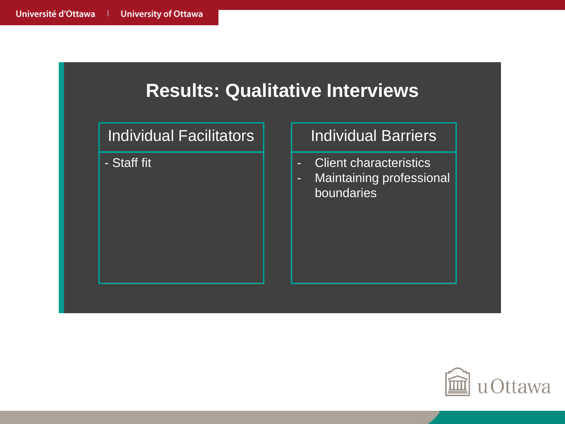